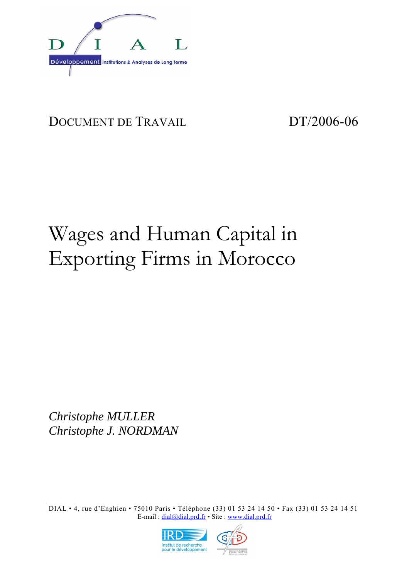

## DOCUMENT DE TRAVAIL DT/2006-06

# Wages and Human Capital in Exporting Firms in Morocco

*Christophe MULLER Christophe J. NORDMAN* 

DIAL • 4, rue d'Enghien • 75010 Paris • Téléphone (33) 01 53 24 14 50 • Fax (33) 01 53 24 14 51 E-mail : dial@dial.prd.fr • Site : www.dial.prd.fr

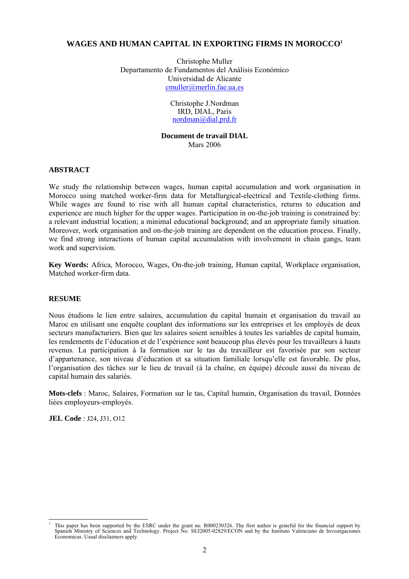#### **WAGES AND HUMAN CAPITAL IN EXPORTING FIRMS IN MOROCCO1**

Christophe Muller Departamento de Fundamentos del Análisis Económico Universidad de Alicante cmuller@merlin.fae.ua.es

> Christophe J.Nordman IRD, DIAL, Paris nordman@dial.prd.fr

**Document de travail DIAL**  Mars 2006

#### **ABSTRACT**

We study the relationship between wages, human capital accumulation and work organisation in Morocco using matched worker-firm data for Metallurgical-electrical and Textile-clothing firms. While wages are found to rise with all human capital characteristics, returns to education and experience are much higher for the upper wages. Participation in on-the-job training is constrained by: a relevant industrial location; a minimal educational background; and an appropriate family situation. Moreover, work organisation and on-the-job training are dependent on the education process. Finally, we find strong interactions of human capital accumulation with involvement in chain gangs, team work and supervision.

**Key Words:** Africa, Morocco, Wages, On-the-job training, Human capital, Workplace organisation, Matched worker-firm data.

#### **RESUME**

Nous étudions le lien entre salaires, accumulation du capital humain et organisation du travail au Maroc en utilisant une enquête couplant des informations sur les entreprises et les employés de deux secteurs manufacturiers. Bien que les salaires soient sensibles à toutes les variables de capital humain, les rendements de l'éducation et de l'expérience sont beaucoup plus élevés pour les travailleurs à hauts revenus. La participation à la formation sur le tas du travailleur est favorisée par son secteur d'appartenance, son niveau d'éducation et sa situation familiale lorsqu'elle est favorable. De plus, l'organisation des tâches sur le lieu de travail (à la chaîne, en équipe) découle aussi du niveau de capital humain des salariés.

**Mots-clefs** : Maroc, Salaires, Formation sur le tas, Capital humain, Organisation du travail, Données liées employeurs-employés.

**JEL Code** : J24, J31, O12

 $\overline{\phantom{a}}$ 1

This paper has been supported by the ESRC under the grant no. R000230326. The first author is grateful for the financial support by Spanish Ministry of Sciences and Technology. Project No. SEJ2005-02829/ECON and by the Instituto Valenciano de Investigaciones Economicas. Usual disclaimers apply.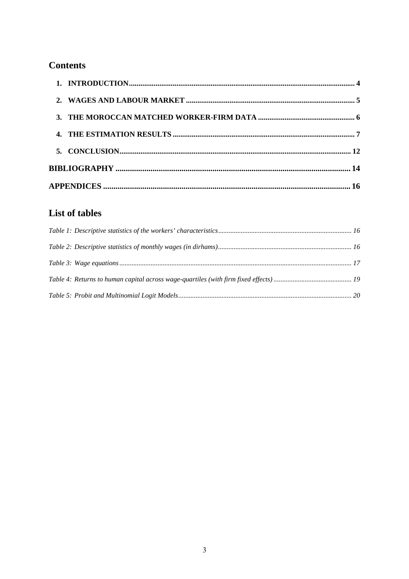## **Contents**

| 2 <sup>1</sup> |  |
|----------------|--|
|                |  |
|                |  |
|                |  |
|                |  |
|                |  |

## List of tables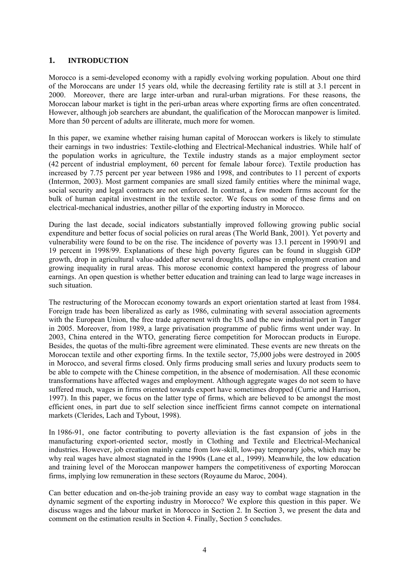#### **1. INTRODUCTION**

Morocco is a semi-developed economy with a rapidly evolving working population. About one third of the Moroccans are under 15 years old, while the decreasing fertility rate is still at 3.1 percent in 2000. Moreover, there are large inter-urban and rural-urban migrations. For these reasons, the Moroccan labour market is tight in the peri-urban areas where exporting firms are often concentrated. However, although job searchers are abundant, the qualification of the Moroccan manpower is limited. More than 50 percent of adults are illiterate, much more for women.

In this paper, we examine whether raising human capital of Moroccan workers is likely to stimulate their earnings in two industries: Textile-clothing and Electrical-Mechanical industries. While half of the population works in agriculture, the Textile industry stands as a major employment sector (42 percent of industrial employment, 60 percent for female labour force). Textile production has increased by 7.75 percent per year between 1986 and 1998, and contributes to 11 percent of exports (Intermon, 2003). Most garment companies are small sized family entities where the minimal wage, social security and legal contracts are not enforced. In contrast, a few modern firms account for the bulk of human capital investment in the textile sector. We focus on some of these firms and on electrical-mechanical industries, another pillar of the exporting industry in Morocco.

During the last decade, social indicators substantially improved following growing public social expenditure and better focus of social policies on rural areas (The World Bank, 2001). Yet poverty and vulnerability were found to be on the rise. The incidence of poverty was 13.1 percent in 1990/91 and 19 percent in 1998/99. Explanations of these high poverty figures can be found in sluggish GDP growth, drop in agricultural value-added after several droughts, collapse in employment creation and growing inequality in rural areas. This morose economic context hampered the progress of labour earnings. An open question is whether better education and training can lead to large wage increases in such situation.

The restructuring of the Moroccan economy towards an export orientation started at least from 1984. Foreign trade has been liberalized as early as 1986, culminating with several association agreements with the European Union, the free trade agreement with the US and the new industrial port in Tanger in 2005. Moreover, from 1989, a large privatisation programme of public firms went under way. In 2003, China entered in the WTO, generating fierce competition for Moroccan products in Europe. Besides, the quotas of the multi-fibre agreement were eliminated. These events are new threats on the Moroccan textile and other exporting firms. In the textile sector, 75,000 jobs were destroyed in 2005 in Morocco, and several firms closed. Only firms producing small series and luxury products seem to be able to compete with the Chinese competition, in the absence of modernisation. All these economic transformations have affected wages and employment. Although aggregate wages do not seem to have suffered much, wages in firms oriented towards export have sometimes dropped (Currie and Harrison, 1997). In this paper, we focus on the latter type of firms, which are believed to be amongst the most efficient ones, in part due to self selection since inefficient firms cannot compete on international markets (Clerides, Lach and Tybout, 1998).

In 1986-91, one factor contributing to poverty alleviation is the fast expansion of jobs in the manufacturing export-oriented sector, mostly in Clothing and Textile and Electrical-Mechanical industries. However, job creation mainly came from low-skill, low-pay temporary jobs, which may be why real wages have almost stagnated in the 1990s (Lane et al., 1999). Meanwhile, the low education and training level of the Moroccan manpower hampers the competitiveness of exporting Moroccan firms, implying low remuneration in these sectors (Royaume du Maroc, 2004).

Can better education and on-the-job training provide an easy way to combat wage stagnation in the dynamic segment of the exporting industry in Morocco? We explore this question in this paper. We discuss wages and the labour market in Morocco in Section 2. In Section 3, we present the data and comment on the estimation results in Section 4. Finally, Section 5 concludes.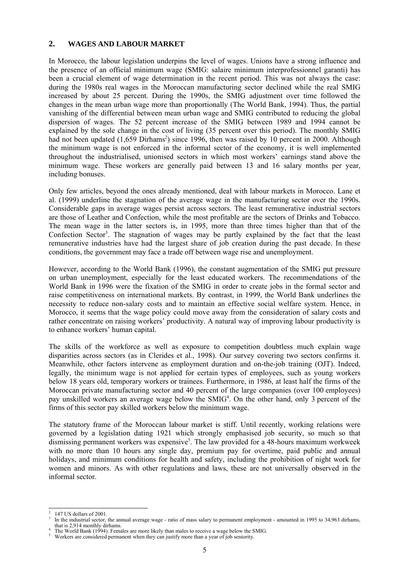#### **2. WAGES AND LABOUR MARKET**

In Morocco, the labour legislation underpins the level of wages. Unions have a strong influence and the presence of an official minimum wage (SMIG: salaire minimum interprofessionnel garanti) has been a crucial element of wage determination in the recent period. This was not always the case: during the 1980s real wages in the Moroccan manufacturing sector declined while the real SMIG increased by about 25 percent. During the 1990s, the SMIG adjustment over time followed the changes in the mean urban wage more than proportionally (The World Bank, 1994). Thus, the partial vanishing of the differential between mean urban wage and SMIG contributed to reducing the global dispersion of wages. The 52 percent increase of the SMIG between 1989 and 1994 cannot be explained by the sole change in the cost of living (35 percent over this period). The monthly SMIG had not been updated (1,659 Dirhams<sup>2</sup>) since 1996, then was raised by 10 percent in 2000. Although the minimum wage is not enforced in the informal sector of the economy, it is well implemented throughout the industrialised, unionised sectors in which most workers' earnings stand above the minimum wage. These workers are generally paid between 13 and 16 salary months per year, including bonuses.

Only few articles, beyond the ones already mentioned, deal with labour markets in Morocco. Lane et al. (1999) underline the stagnation of the average wage in the manufacturing sector over the 1990s. Considerable gaps in average wages persist across sectors. The least remunerative industrial sectors are those of Leather and Confection, while the most profitable are the sectors of Drinks and Tobacco. The mean wage in the latter sectors is, in 1995, more than three times higher than that of the Confection Sector<sup>3</sup>. The stagnation of wages may be partly explained by the fact that the least remunerative industries have had the largest share of job creation during the past decade. In these conditions, the government may face a trade off between wage rise and unemployment.

However, according to the World Bank (1996), the constant augmentation of the SMIG put pressure on urban unemployment, especially for the least educated workers. The recommendations of the World Bank in 1996 were the fixation of the SMIG in order to create jobs in the formal sector and raise competitiveness on international markets. By contrast, in 1999, the World Bank underlines the necessity to reduce non-salary costs and to maintain an effective social welfare system. Hence, in Morocco, it seems that the wage policy could move away from the consideration of salary costs and rather concentrate on raising workers' productivity. A natural way of improving labour productivity is to enhance workers' human capital.

The skills of the workforce as well as exposure to competition doubtless much explain wage disparities across sectors (as in Clerides et al., 1998). Our survey covering two sectors confirms it. Meanwhile, other factors intervene as employment duration and on-the-job training (OJT). Indeed, legally, the minimum wage is not applied for certain types of employees, such as young workers below 18 years old, temporary workers or trainees. Furthermore, in 1986, at least half the firms of the Moroccan private manufacturing sector and 40 percent of the large companies (over 100 employees) pay unskilled workers an average wage below the SMIG<sup>4</sup>. On the other hand, only 3 percent of the firms of this sector pay skilled workers below the minimum wage.

The statutory frame of the Moroccan labour market is stiff. Until recently, working relations were governed by a legislation dating 1921 which strongly emphasised job security, so much so that dismissing permanent workers was expensive<sup>5</sup>. The law provided for a 48-hours maximum workweek with no more than 10 hours any single day, premium pay for overtime, paid public and annual holidays, and minimum conditions for health and safety, including the prohibition of night work for women and minors. As with other regulations and laws, these are not universally observed in the informal sector.

 $\overline{\phantom{a}}$ 2 147 US dollars of 2001.

<sup>3</sup> In the industrial sector, the annual average wage - ratio of mass salary to permanent employment - amounted in 1995 to 34,963 dirhams, that is 2,914 monthly dirhams. 4

The World Bank (1994). Females are more likely than males to receive a wage below the SMIG.

Workers are considered permanent when they can justify more than a year of job seniority.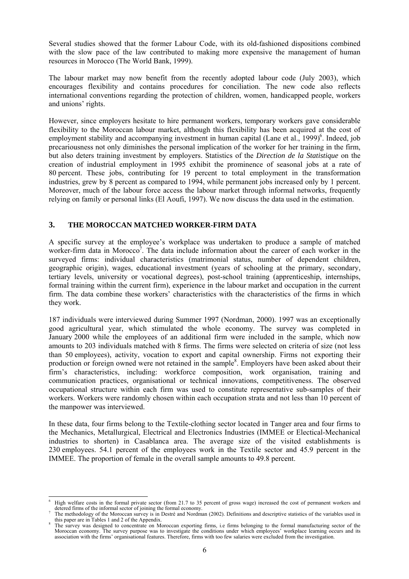Several studies showed that the former Labour Code, with its old-fashioned dispositions combined with the slow pace of the law contributed to making more expensive the management of human resources in Morocco (The World Bank, 1999).

The labour market may now benefit from the recently adopted labour code (July 2003), which encourages flexibility and contains procedures for conciliation. The new code also reflects international conventions regarding the protection of children, women, handicapped people, workers and unions' rights.

However, since employers hesitate to hire permanent workers, temporary workers gave considerable flexibility to the Moroccan labour market, although this flexibility has been acquired at the cost of employment stability and accompanying investment in human capital (Lane et al., 1999)<sup>6</sup>. Indeed, job precariousness not only diminishes the personal implication of the worker for her training in the firm, but also deters training investment by employers. Statistics of the *Direction de la Statistique* on the creation of industrial employment in 1995 exhibit the prominence of seasonal jobs at a rate of 80 percent. These jobs, contributing for 19 percent to total employment in the transformation industries, grew by 8 percent as compared to 1994, while permanent jobs increased only by 1 percent. Moreover, much of the labour force access the labour market through informal networks, frequently relying on family or personal links (El Aoufi, 1997). We now discuss the data used in the estimation.

#### **3. THE MOROCCAN MATCHED WORKER-FIRM DATA**

A specific survey at the employee's workplace was undertaken to produce a sample of matched worker-firm data in Morocco<sup>7</sup>. The data include information about the career of each worker in the surveyed firms: individual characteristics (matrimonial status, number of dependent children, geographic origin), wages, educational investment (years of schooling at the primary, secondary, tertiary levels, university or vocational degrees), post-school training (apprenticeship, internships, formal training within the current firm), experience in the labour market and occupation in the current firm. The data combine these workers' characteristics with the characteristics of the firms in which they work.

187 individuals were interviewed during Summer 1997 (Nordman, 2000). 1997 was an exceptionally good agricultural year, which stimulated the whole economy. The survey was completed in January 2000 while the employees of an additional firm were included in the sample, which now amounts to 203 individuals matched with 8 firms. The firms were selected on criteria of size (not less than 50 employees), activity, vocation to export and capital ownership. Firms not exporting their production or foreign owned were not retained in the sample<sup>8</sup>. Employers have been asked about their firm's characteristics, including: workforce composition, work organisation, training and communication practices, organisational or technical innovations, competitiveness. The observed occupational structure within each firm was used to constitute representative sub-samples of their workers. Workers were randomly chosen within each occupation strata and not less than 10 percent of the manpower was interviewed.

In these data, four firms belong to the Textile-clothing sector located in Tanger area and four firms to the Mechanics, Metallurgical, Electrical and Electronics Industries (IMMEE or Electical-Mechanical industries to shorten) in Casablanca area. The average size of the visited establishments is 230 employees. 54.1 percent of the employees work in the Textile sector and 45.9 percent in the IMMEE. The proportion of female in the overall sample amounts to 49.8 percent.

l 6 High welfare costs in the formal private sector (from 21.7 to 35 percent of gross wage) increased the cost of permanent workers and detered firms of the informal sector of joining the formal economy.<br><sup>7</sup> The methodology of the Moroccan survey is in Destré and Nordman (2002). Definitions and descriptive statistics of the variables used in

this paper are in Tables 1 and 2 of the Appendix.

The survey was designed to concentrate on Moroccan exporting firms, i.e firms belonging to the formal manufacturing sector of the Moroccan economy. The survey purpose was to investigate the conditions under which employees' workplace learning occurs and its association with the firms' organisational features. Therefore, firms with too few salaries were excluded from the investigation.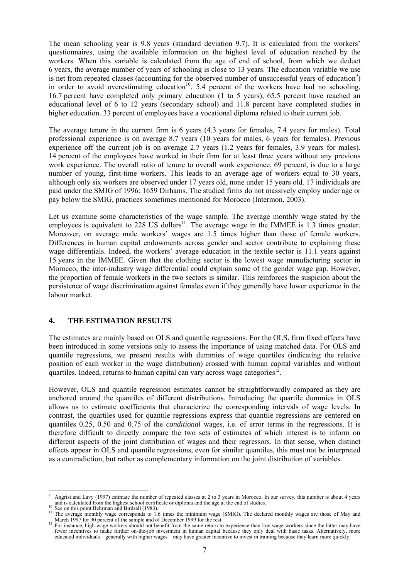The mean schooling year is 9.8 years (standard deviation 9.7). It is calculated from the workers' questionnaires, using the available information on the highest level of education reached by the workers. When this variable is calculated from the age of end of school, from which we deduct 6 years, the average number of years of schooling is close to 13 years. The education variable we use is net from repeated classes (accounting for the observed number of unsuccessful years of education<sup>9</sup>) in order to avoid overestimating education<sup>10</sup>. 5.4 percent of the workers have had no schooling, 16.7 percent have completed only primary education (1 to 5 years), 65.5 percent have reached an educational level of 6 to 12 years (secondary school) and 11.8 percent have completed studies in higher education. 33 percent of employees have a vocational diploma related to their current job.

The average tenure in the current firm is 6 years (4.3 years for females, 7.4 years for males). Total professional experience is on average 8.7 years (10 years for males, 6 years for females). Previous experience off the current job is on average 2.7 years (1.2 years for females, 3.9 years for males). 14 percent of the employees have worked in their firm for at least three years without any previous work experience. The overall ratio of tenure to overall work experience, 69 percent, is due to a large number of young, first-time workers. This leads to an average age of workers equal to 30 years, although only six workers are observed under 17 years old, none under 15 years old. 17 individuals are paid under the SMIG of 1996: 1659 Dirhams. The studied firms do not massively employ under age or pay below the SMIG, practices sometimes mentioned for Morocco (Intermon, 2003).

Let us examine some characteristics of the wage sample. The average monthly wage stated by the employees is equivalent to  $228$  US dollars<sup>11</sup>. The average wage in the IMMEE is 1.3 times greater. Moreover, on average male workers' wages are 1.5 times higher than those of female workers. Differences in human capital endowments across gender and sector contribute to explaining these wage differentials. Indeed, the workers' average education in the textile sector is 11.1 years against 15 years in the IMMEE. Given that the clothing sector is the lowest wage manufacturing sector in Morocco, the inter-industry wage differential could explain some of the gender wage gap. However, the proportion of female workers in the two sectors is similar. This reinforces the suspicion about the persistence of wage discrimination against females even if they generally have lower experience in the labour market.

#### **4. THE ESTIMATION RESULTS**

The estimates are mainly based on OLS and quantile regressions. For the OLS, firm fixed effects have been introduced in some versions only to assess the importance of using matched data. For OLS and quantile regressions, we present results with dummies of wage quartiles (indicating the relative position of each worker in the wage distribution) crossed with human capital variables and without quartiles. Indeed, returns to human capital can vary across wage categories<sup>12</sup>.

However, OLS and quantile regression estimates cannot be straightforwardly compared as they are anchored around the quantiles of different distributions. Introducing the quartile dummies in OLS allows us to estimate coefficients that characterize the corresponding intervals of wage levels. In contrast, the quartiles used for quantile regressions express that quantile regressions are centered on quantiles 0.25, 0.50 and 0.75 of the *conditional* wages, i.e. of error terms in the regressions. It is therefore difficult to directly compare the two sets of estimates of which interest is to inform on different aspects of the joint distribution of wages and their regressors. In that sense, when distinct effects appear in OLS and quantile regressions, even for similar quantiles, this must not be interpreted as a contradiction, but rather as complementary information on the joint distribution of variables.

l 9 <sup>9</sup> Angrist and Lavy (1997) estimate the number of repeated classes at 2 to 3 years in Morocco. In our survey, this number is about 4 years and is calculated from the highest school certificate or diploma and the age at t

<sup>&</sup>lt;sup>10</sup> See on this point Behrman and Birdsall (1983).<br><sup>11</sup> The average monthly wage corresponds to 1.6 times the minimum wage (SMIG). The declared monthly wages are those of May and March 1997 for 90 percent of the sample and of December 1999 for the rest.<br><sup>12</sup> For instance, high wage workers should not benefit from the same return to experience than low wage workers since the latter may have

fewer incentives to make further on-the-job investment in human capital because they only deal with basic tasks. Alternatively, more educated individuals – generally with higher wages – may have greater incentive to invest in training because they learn more quickly.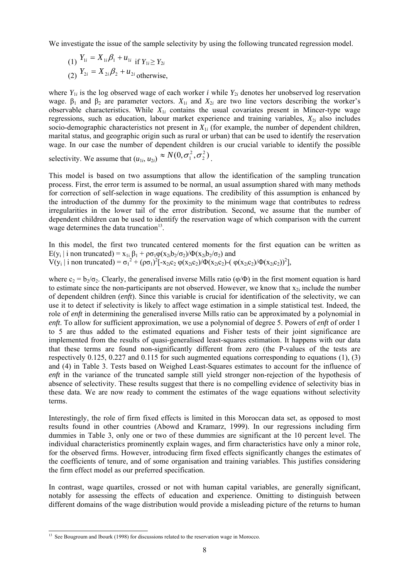We investigate the issue of the sample selectivity by using the following truncated regression model.

(1) 
$$
Y_{1i} = X_{1i}\beta_1 + u_{1i}
$$
 if  $Y_{1i} \ge Y_{2i}$   
(2)  $Y_{2i} = X_{2i}\beta_2 + u_{2i}$  otherwise,

where  $Y_{1i}$  is the log observed wage of each worker *i* while  $Y_{2i}$  denotes her unobserved log reservation wage.  $\beta_1$  and  $\beta_2$  are parameter vectors.  $X_{1i}$  and  $X_{2i}$  are two line vectors describing the worker's observable characteristics. While *X*1*i* contains the usual covariates present in Mincer-type wage regressions, such as education, labour market experience and training variables,  $X_{2i}$  also includes socio-demographic characteristics not present in  $X_{1i}$  (for example, the number of dependent children, marital status, and geographic origin such as rural or urban) that can be used to identify the reservation wage. In our case the number of dependent children is our crucial variable to identify the possible selectivity. We assume that  $(u_{1i}, u_{2i}) \approx N(0, \sigma_1^2, \sigma_2^2)$  $\approx N(0, \sigma_1^2, \sigma_2^2)$ <sub>.</sub>

This model is based on two assumptions that allow the identification of the sampling truncation process. First, the error term is assumed to be normal, an usual assumption shared with many methods for correction of self-selection in wage equations. The credibility of this assumption is enhanced by the introduction of the dummy for the proximity to the minimum wage that contributes to redress irregularities in the lower tail of the error distribution. Second, we assume that the number of dependent children can be used to identify the reservation wage of which comparison with the current wage determines the data truncation $13$ .

In this model, the first two truncated centered moments for the first equation can be written as  $E(y_i | i \text{ non truncated}) = x_{1i} \beta_1 + \rho \sigma_1 \varphi(x_{2i}b_2/\sigma_2)/\Phi(x_{2i}b_2/\sigma_2)$  and  $V(y_i | i \text{ non truncated}) = \sigma_1^2 + (\rho \sigma_1)^2 [-x_{2i}c_2 \varphi(x_{2i}c_2)/\Phi(x_{2i}c_2) - (\varphi(x_{2i}c_2)/\Phi(x_{2i}c_2))^2]$ 

where  $c_2 = b_2/\sigma_2$ . Clearly, the generalised inverse Mills ratio ( $\phi/\Phi$ ) in the first moment equation is hard to estimate since the non-participants are not observed. However, we know that  $x_{2i}$  include the number of dependent children (*enft*). Since this variable is crucial for identification of the selectivity, we can use it to detect if selectivity is likely to affect wage estimation in a simple statistical test. Indeed, the role of *enft* in determining the generalised inverse Mills ratio can be approximated by a polynomial in *enft*. To allow for sufficient approximation, we use a polynomial of degree 5. Powers of *enft* of order 1 to 5 are thus added to the estimated equations and Fisher tests of their joint significance are implemented from the results of quasi-generalised least-squares estimation. It happens with our data that these terms are found non-significantly different from zero (the P-values of the tests are respectively 0.125, 0.227 and 0.115 for such augmented equations corresponding to equations (1), (3) and (4) in Table 3. Tests based on Weighed Least-Squares estimates to account for the influence of *enft* in the variance of the truncated sample still yield stronger non-rejection of the hypothesis of absence of selectivity. These results suggest that there is no compelling evidence of selectivity bias in these data. We are now ready to comment the estimates of the wage equations without selectivity terms.

Interestingly, the role of firm fixed effects is limited in this Moroccan data set, as opposed to most results found in other countries (Abowd and Kramarz, 1999). In our regressions including firm dummies in Table 3, only one or two of these dummies are significant at the 10 percent level. The individual characteristics prominently explain wages, and firm characteristics have only a minor role, for the observed firms. However, introducing firm fixed effects significantly changes the estimates of the coefficients of tenure, and of some organisation and training variables. This justifies considering the firm effect model as our preferred specification.

In contrast, wage quartiles, crossed or not with human capital variables, are generally significant, notably for assessing the effects of education and experience. Omitting to distinguish between different domains of the wage distribution would provide a misleading picture of the returns to human

 $\overline{a}$ <sup>13</sup> See Bougroum and Ibourk (1998) for discussions related to the reservation wage in Morocco.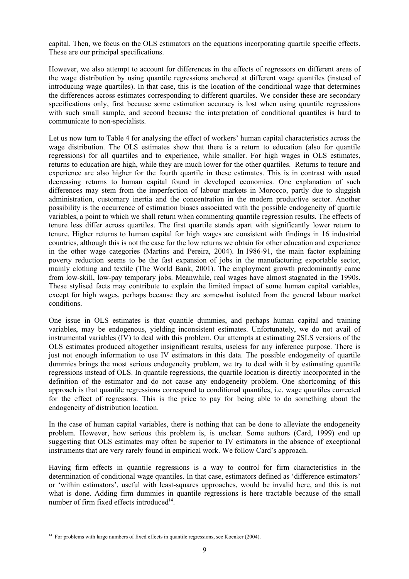capital. Then, we focus on the OLS estimators on the equations incorporating quartile specific effects. These are our principal specifications.

However, we also attempt to account for differences in the effects of regressors on different areas of the wage distribution by using quantile regressions anchored at different wage quantiles (instead of introducing wage quartiles). In that case, this is the location of the conditional wage that determines the differences across estimates corresponding to different quartiles. We consider these are secondary specifications only, first because some estimation accuracy is lost when using quantile regressions with such small sample, and second because the interpretation of conditional quantiles is hard to communicate to non-specialists.

Let us now turn to Table 4 for analysing the effect of workers' human capital characteristics across the wage distribution. The OLS estimates show that there is a return to education (also for quantile regressions) for all quartiles and to experience, while smaller. For high wages in OLS estimates, returns to education are high, while they are much lower for the other quartiles. Returns to tenure and experience are also higher for the fourth quartile in these estimates. This is in contrast with usual decreasing returns to human capital found in developed economies. One explanation of such differences may stem from the imperfection of labour markets in Morocco, partly due to sluggish administration, customary inertia and the concentration in the modern productive sector. Another possibility is the occurrence of estimation biases associated with the possible endogeneity of quartile variables, a point to which we shall return when commenting quantile regression results. The effects of tenure less differ across quartiles. The first quartile stands apart with significantly lower return to tenure. Higher returns to human capital for high wages are consistent with findings in 16 industrial countries, although this is not the case for the low returns we obtain for other education and experience in the other wage categories (Martins and Pereira, 2004). In 1986-91, the main factor explaining poverty reduction seems to be the fast expansion of jobs in the manufacturing exportable sector, mainly clothing and textile (The World Bank, 2001). The employment growth predominantly came from low-skill, low-pay temporary jobs. Meanwhile, real wages have almost stagnated in the 1990s. These stylised facts may contribute to explain the limited impact of some human capital variables, except for high wages, perhaps because they are somewhat isolated from the general labour market conditions.

One issue in OLS estimates is that quantile dummies, and perhaps human capital and training variables, may be endogenous, yielding inconsistent estimates. Unfortunately, we do not avail of instrumental variables (IV) to deal with this problem. Our attempts at estimating 2SLS versions of the OLS estimates produced altogether insignificant results, useless for any inference purpose. There is just not enough information to use IV estimators in this data. The possible endogeneity of quartile dummies brings the most serious endogeneity problem, we try to deal with it by estimating quantile regressions instead of OLS. In quantile regressions, the quartile location is directly incorporated in the definition of the estimator and do not cause any endogeneity problem. One shortcoming of this approach is that quantile regressions correspond to conditional quantiles, i.e. wage quartiles corrected for the effect of regressors. This is the price to pay for being able to do something about the endogeneity of distribution location.

In the case of human capital variables, there is nothing that can be done to alleviate the endogeneity problem. However, how serious this problem is, is unclear. Some authors (Card, 1999) end up suggesting that OLS estimates may often be superior to IV estimators in the absence of exceptional instruments that are very rarely found in empirical work. We follow Card's approach.

Having firm effects in quantile regressions is a way to control for firm characteristics in the determination of conditional wage quantiles. In that case, estimators defined as 'difference estimators' or 'within estimators', useful with least-squares approaches, would be invalid here, and this is not what is done. Adding firm dummies in quantile regressions is here tractable because of the small number of firm fixed effects introduced<sup>14</sup>.

 $\overline{a}$  $14$  For problems with large numbers of fixed effects in quantile regressions, see Koenker (2004).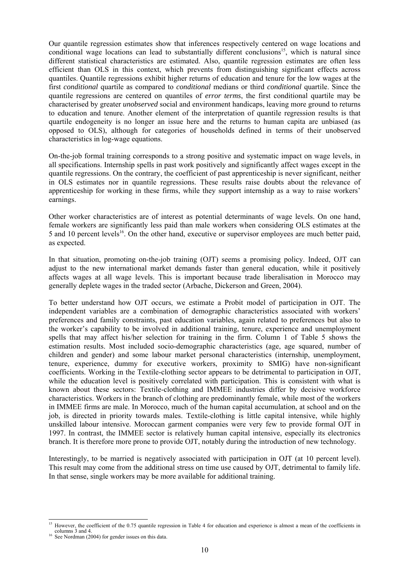Our quantile regression estimates show that inferences respectively centered on wage locations and conditional wage locations can lead to substantially different conclusions<sup>15</sup>, which is natural since different statistical characteristics are estimated. Also, quantile regression estimates are often less efficient than OLS in this context, which prevents from distinguishing significant effects across quantiles. Quantile regressions exhibit higher returns of education and tenure for the low wages at the first *conditional* quartile as compared to *conditional* medians or third *conditional* quartile. Since the quantile regressions are centered on quantiles of *error terms*, the first conditional quartile may be characterised by greater *unobserved* social and environment handicaps, leaving more ground to returns to education and tenure. Another element of the interpretation of quantile regression results is that quartile endogeneity is no longer an issue here and the returns to human capita are unbiased (as opposed to OLS), although for categories of households defined in terms of their unobserved characteristics in log-wage equations.

On-the-job formal training corresponds to a strong positive and systematic impact on wage levels, in all specifications. Internship spells in past work positively and significantly affect wages except in the quantile regressions. On the contrary, the coefficient of past apprenticeship is never significant, neither in OLS estimates nor in quantile regressions. These results raise doubts about the relevance of apprenticeship for working in these firms, while they support internship as a way to raise workers' earnings.

Other worker characteristics are of interest as potential determinants of wage levels. On one hand, female workers are significantly less paid than male workers when considering OLS estimates at the 5 and 10 percent levels<sup>16</sup>. On the other hand, executive or supervisor employees are much better paid, as expected.

In that situation, promoting on-the-job training (OJT) seems a promising policy. Indeed, OJT can adjust to the new international market demands faster than general education, while it positively affects wages at all wage levels. This is important because trade liberalisation in Morocco may generally deplete wages in the traded sector (Arbache, Dickerson and Green, 2004).

To better understand how OJT occurs, we estimate a Probit model of participation in OJT. The independent variables are a combination of demographic characteristics associated with workers' preferences and family constraints, past education variables, again related to preferences but also to the worker's capability to be involved in additional training, tenure, experience and unemployment spells that may affect his/her selection for training in the firm. Column 1 of Table 5 shows the estimation results. Most included socio-demographic characteristics (age, age squared, number of children and gender) and some labour market personal characteristics (internship, unemployment, tenure, experience, dummy for executive workers, proximity to SMIG) have non-significant coefficients. Working in the Textile-clothing sector appears to be detrimental to participation in OJT, while the education level is positively correlated with participation. This is consistent with what is known about these sectors: Textile-clothing and IMMEE industries differ by decisive workforce characteristics. Workers in the branch of clothing are predominantly female, while most of the workers in IMMEE firms are male. In Morocco, much of the human capital accumulation, at school and on the job, is directed in priority towards males. Textile-clothing is little capital intensive, while highly unskilled labour intensive. Moroccan garment companies were very few to provide formal OJT in 1997. In contrast, the IMMEE sector is relatively human capital intensive, especially its electronics branch. It is therefore more prone to provide OJT, notably during the introduction of new technology.

Interestingly, to be married is negatively associated with participation in OJT (at 10 percent level). This result may come from the additional stress on time use caused by OJT, detrimental to family life. In that sense, single workers may be more available for additional training.

 $\overline{\phantom{a}}$ 

<sup>&</sup>lt;sup>15</sup> However, the coefficient of the 0.75 quantile regression in Table 4 for education and experience is almost a mean of the coefficients in columns 3 and 4.<br><sup>16</sup> See Nordman (2004) for gender issues on this data.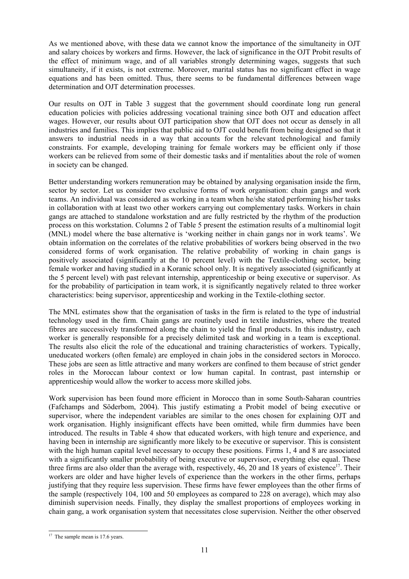As we mentioned above, with these data we cannot know the importance of the simultaneity in OJT and salary choices by workers and firms. However, the lack of significance in the OJT Probit results of the effect of minimum wage, and of all variables strongly determining wages, suggests that such simultaneity, if it exists, is not extreme. Moreover, marital status has no significant effect in wage equations and has been omitted. Thus, there seems to be fundamental differences between wage determination and OJT determination processes.

Our results on OJT in Table 3 suggest that the government should coordinate long run general education policies with policies addressing vocational training since both OJT and education affect wages. However, our results about OJT participation show that OJT does not occur as densely in all industries and families. This implies that public aid to OJT could benefit from being designed so that it answers to industrial needs in a way that accounts for the relevant technological and family constraints. For example, developing training for female workers may be efficient only if those workers can be relieved from some of their domestic tasks and if mentalities about the role of women in society can be changed.

Better understanding workers remuneration may be obtained by analysing organisation inside the firm, sector by sector. Let us consider two exclusive forms of work organisation: chain gangs and work teams. An individual was considered as working in a team when he/she stated performing his/her tasks in collaboration with at least two other workers carrying out complementary tasks. Workers in chain gangs are attached to standalone workstation and are fully restricted by the rhythm of the production process on this workstation. Columns 2 of Table 5 present the estimation results of a multinomial logit (MNL) model where the base alternative is 'working neither in chain gangs nor in work teams'. We obtain information on the correlates of the relative probabilities of workers being observed in the two considered forms of work organisation. The relative probability of working in chain gangs is positively associated (significantly at the 10 percent level) with the Textile-clothing sector, being female worker and having studied in a Koranic school only. It is negatively associated (significantly at the 5 percent level) with past relevant internship, apprenticeship or being executive or supervisor. As for the probability of participation in team work, it is significantly negatively related to three worker characteristics: being supervisor, apprenticeship and working in the Textile-clothing sector.

The MNL estimates show that the organisation of tasks in the firm is related to the type of industrial technology used in the firm. Chain gangs are routinely used in textile industries, where the treated fibres are successively transformed along the chain to yield the final products. In this industry, each worker is generally responsible for a precisely delimited task and working in a team is exceptional. The results also elicit the role of the educational and training characteristics of workers. Typically, uneducated workers (often female) are employed in chain jobs in the considered sectors in Morocco. These jobs are seen as little attractive and many workers are confined to them because of strict gender roles in the Moroccan labour context or low human capital. In contrast, past internship or apprenticeship would allow the worker to access more skilled jobs.

Work supervision has been found more efficient in Morocco than in some South-Saharan countries (Fafchamps and Söderbom, 2004). This justify estimating a Probit model of being executive or supervisor, where the independent variables are similar to the ones chosen for explaining OJT and work organisation. Highly insignificant effects have been omitted, while firm dummies have been introduced. The results in Table 4 show that educated workers, with high tenure and experience, and having been in internship are significantly more likely to be executive or supervisor. This is consistent with the high human capital level necessary to occupy these positions. Firms 1, 4 and 8 are associated with a significantly smaller probability of being executive or supervisor, everything else equal. These three firms are also older than the average with, respectively,  $46$ , 20 and 18 years of existence<sup>17</sup>. Their workers are older and have higher levels of experience than the workers in the other firms, perhaps justifying that they require less supervision. These firms have fewer employees than the other firms of the sample (respectively 104, 100 and 50 employees as compared to 228 on average), which may also diminish supervision needs. Finally, they display the smallest proportions of employees working in chain gang, a work organisation system that necessitates close supervision. Neither the other observed

 $\overline{a}$  $17$  The sample mean is 17.6 years.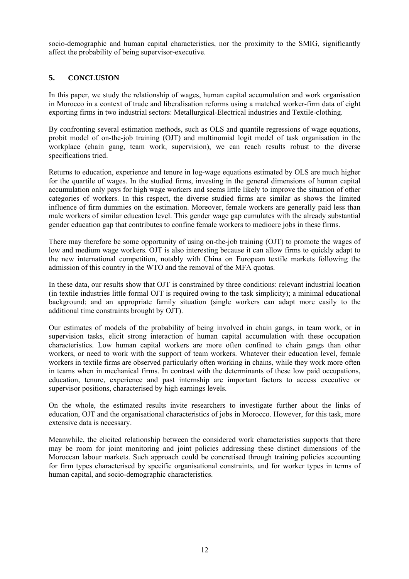socio-demographic and human capital characteristics, nor the proximity to the SMIG, significantly affect the probability of being supervisor-executive.

#### **5. CONCLUSION**

In this paper, we study the relationship of wages, human capital accumulation and work organisation in Morocco in a context of trade and liberalisation reforms using a matched worker-firm data of eight exporting firms in two industrial sectors: Metallurgical-Electrical industries and Textile-clothing.

By confronting several estimation methods, such as OLS and quantile regressions of wage equations, probit model of on-the-job training (OJT) and multinomial logit model of task organisation in the workplace (chain gang, team work, supervision), we can reach results robust to the diverse specifications tried.

Returns to education, experience and tenure in log-wage equations estimated by OLS are much higher for the quartile of wages. In the studied firms, investing in the general dimensions of human capital accumulation only pays for high wage workers and seems little likely to improve the situation of other categories of workers. In this respect, the diverse studied firms are similar as shows the limited influence of firm dummies on the estimation. Moreover, female workers are generally paid less than male workers of similar education level. This gender wage gap cumulates with the already substantial gender education gap that contributes to confine female workers to mediocre jobs in these firms.

There may therefore be some opportunity of using on-the-job training (OJT) to promote the wages of low and medium wage workers. OJT is also interesting because it can allow firms to quickly adapt to the new international competition, notably with China on European textile markets following the admission of this country in the WTO and the removal of the MFA quotas.

In these data, our results show that OJT is constrained by three conditions: relevant industrial location (in textile industries little formal OJT is required owing to the task simplicity); a minimal educational background; and an appropriate family situation (single workers can adapt more easily to the additional time constraints brought by OJT).

Our estimates of models of the probability of being involved in chain gangs, in team work, or in supervision tasks, elicit strong interaction of human capital accumulation with these occupation characteristics. Low human capital workers are more often confined to chain gangs than other workers, or need to work with the support of team workers. Whatever their education level, female workers in textile firms are observed particularly often working in chains, while they work more often in teams when in mechanical firms. In contrast with the determinants of these low paid occupations, education, tenure, experience and past internship are important factors to access executive or supervisor positions, characterised by high earnings levels.

On the whole, the estimated results invite researchers to investigate further about the links of education, OJT and the organisational characteristics of jobs in Morocco. However, for this task, more extensive data is necessary.

Meanwhile, the elicited relationship between the considered work characteristics supports that there may be room for joint monitoring and joint policies addressing these distinct dimensions of the Moroccan labour markets. Such approach could be concretised through training policies accounting for firm types characterised by specific organisational constraints, and for worker types in terms of human capital, and socio-demographic characteristics.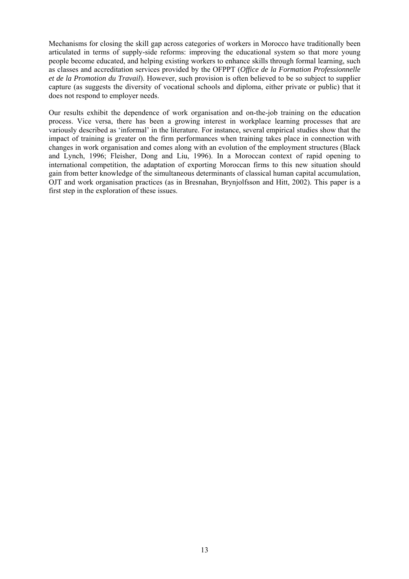Mechanisms for closing the skill gap across categories of workers in Morocco have traditionally been articulated in terms of supply-side reforms: improving the educational system so that more young people become educated, and helping existing workers to enhance skills through formal learning, such as classes and accreditation services provided by the OFPPT (*Office de la Formation Professionnelle et de la Promotion du Travail*). However, such provision is often believed to be so subject to supplier capture (as suggests the diversity of vocational schools and diploma, either private or public) that it does not respond to employer needs.

Our results exhibit the dependence of work organisation and on-the-job training on the education process. Vice versa, there has been a growing interest in workplace learning processes that are variously described as 'informal' in the literature. For instance, several empirical studies show that the impact of training is greater on the firm performances when training takes place in connection with changes in work organisation and comes along with an evolution of the employment structures (Black and Lynch, 1996; Fleisher, Dong and Liu, 1996). In a Moroccan context of rapid opening to international competition, the adaptation of exporting Moroccan firms to this new situation should gain from better knowledge of the simultaneous determinants of classical human capital accumulation, OJT and work organisation practices (as in Bresnahan, Brynjolfsson and Hitt, 2002). This paper is a first step in the exploration of these issues.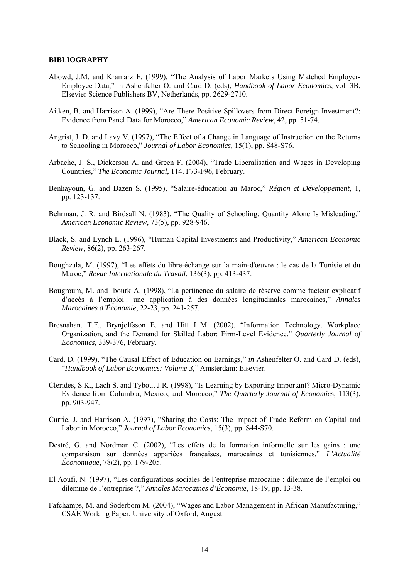#### **BIBLIOGRAPHY**

- Abowd, J.M. and Kramarz F. (1999), "The Analysis of Labor Markets Using Matched Employer-Employee Data," in Ashenfelter O. and Card D. (eds), *Handbook of Labor Economics*, vol. 3B, Elsevier Science Publishers BV, Netherlands, pp. 2629-2710.
- Aitken, B. and Harrison A. (1999), "Are There Positive Spillovers from Direct Foreign Investment?: Evidence from Panel Data for Morocco," *American Economic Review*, 42, pp. 51-74.
- Angrist, J. D. and Lavy V. (1997), "The Effect of a Change in Language of Instruction on the Returns to Schooling in Morocco," *Journal of Labor Economics,* 15(1), pp. S48-S76.
- Arbache, J. S., Dickerson A. and Green F. (2004), "Trade Liberalisation and Wages in Developing Countries," *The Economic Journal*, 114, F73-F96, February.
- Benhayoun, G. and Bazen S. (1995), "Salaire-éducation au Maroc," *Région et Développement*, 1, pp. 123-137.
- Behrman, J. R. and Birdsall N. (1983), "The Quality of Schooling: Quantity Alone Is Misleading," *American Economic Review*, 73(5), pp. 928-946.
- Black, S. and Lynch L. (1996), "Human Capital Investments and Productivity," *American Economic Review*, 86(2), pp. 263-267.
- Boughzala, M. (1997), "Les effets du libre-échange sur la main-d'œuvre : le cas de la Tunisie et du Maroc," *Revue Internationale du Travail*, 136(3), pp. 413-437.
- Bougroum, M. and Ibourk A. (1998), "La pertinence du salaire de réserve comme facteur explicatif d'accès à l'emploi : une application à des données longitudinales marocaines," *Annales Marocaines d'Économie*, 22-23, pp. 241-257.
- Bresnahan, T.F., Brynjolfsson E. and Hitt L.M. (2002), "Information Technology, Workplace Organization, and the Demand for Skilled Labor: Firm-Level Evidence," *Quarterly Journal of Economics*, 339-376, February.
- Card, D. (1999), "The Causal Effect of Education on Earnings," *in* Ashenfelter O. and Card D. (eds), "*Handbook of Labor Economics: Volume 3*," Amsterdam: Elsevier.
- Clerides, S.K., Lach S. and Tybout J.R. (1998), "Is Learning by Exporting Important? Micro-Dynamic Evidence from Columbia, Mexico, and Morocco," *The Quarterly Journal of Economics*, 113(3), pp. 903-947.
- Currie, J. and Harrison A. (1997), "Sharing the Costs: The Impact of Trade Reform on Capital and Labor in Morocco," *Journal of Labor Economics*, 15(3), pp. S44-S70.
- Destré, G. and Nordman C. (2002), "Les effets de la formation informelle sur les gains : une comparaison sur données appariées françaises, marocaines et tunisiennes," *L'Actualité Économique*, 78(2), pp. 179-205.
- El Aoufi, N. (1997), "Les configurations sociales de l'entreprise marocaine : dilemme de l'emploi ou dilemme de l'entreprise ?," *Annales Marocaines d'Économie*, 18-19, pp. 13-38.
- Fafchamps, M. and Söderbom M. (2004), "Wages and Labor Management in African Manufacturing," CSAE Working Paper, University of Oxford, August.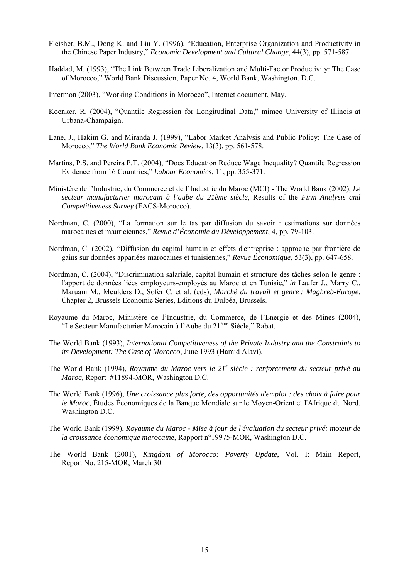- Fleisher, B.M., Dong K. and Liu Y. (1996), "Education, Enterprise Organization and Productivity in the Chinese Paper Industry," *Economic Development and Cultural Change*, 44(3), pp. 571-587.
- Haddad, M. (1993), "The Link Between Trade Liberalization and Multi-Factor Productivity: The Case of Morocco," World Bank Discussion, Paper No. 4, World Bank, Washington, D.C.
- Intermon (2003), "Working Conditions in Morocco", Internet document, May.
- Koenker, R. (2004), "Quantile Regression for Longitudinal Data," mimeo University of Illinois at Urbana-Champaign.
- Lane, J., Hakim G. and Miranda J. (1999), "Labor Market Analysis and Public Policy: The Case of Morocco," *The World Bank Economic Review*, 13(3), pp. 561-578.
- Martins, P.S. and Pereira P.T. (2004), "Does Education Reduce Wage Inequality? Quantile Regression Evidence from 16 Countries," *Labour Economics*, 11, pp. 355-371.
- Ministère de l'Industrie, du Commerce et de l'Industrie du Maroc (MCI) The World Bank (2002), *Le secteur manufacturier marocain à l'aube du 21ème siècle*, Results of the *Firm Analysis and Competitiveness Survey* (FACS-Morocco).
- Nordman, C. (2000), "La formation sur le tas par diffusion du savoir : estimations sur données marocaines et mauriciennes," *Revue d'Économie du Développement*, 4, pp. 79-103.
- Nordman, C. (2002), "Diffusion du capital humain et effets d'entreprise : approche par frontière de gains sur données appariées marocaines et tunisiennes," *Revue Économique*, 53(3), pp. 647-658.
- Nordman, C. (2004), "Discrimination salariale, capital humain et structure des tâches selon le genre : l'apport de données liées employeurs-employés au Maroc et en Tunisie," *in* Laufer J., Marry C., Maruani M., Meulders D., Sofer C. et al. (eds), *Marché du travail et genre : Maghreb-Europe*, Chapter 2, Brussels Economic Series, Editions du Dulbéa, Brussels.
- Royaume du Maroc, Ministère de l'Industrie, du Commerce, de l'Energie et des Mines (2004), "Le Secteur Manufacturier Marocain à l'Aube du 21ème Siècle," Rabat.
- The World Bank (1993), *International Competitiveness of the Private Industry and the Constraints to its Development: The Case of Morocco*, June 1993 (Hamid Alavi)*.*
- The World Bank (1994), *Royaume du Maroc vers le 21<sup>e</sup> siècle : renforcement du secteur privé au Maroc,* Report #11894-MOR, Washington D.C.
- The World Bank (1996), *Une croissance plus forte, des opportunités d'emploi : des choix à faire pour le Maroc*, Études Économiques de la Banque Mondiale sur le Moyen-Orient et l'Afrique du Nord, Washington D.C.
- The World Bank (1999), *Royaume du Maroc Mise à jour de l'évaluation du secteur privé: moteur de la croissance économique marocaine*, Rapport n°19975-MOR, Washington D.C.
- The World Bank (2001), *Kingdom of Morocco: Poverty Update*, Vol. I: Main Report, Report No. 215-MOR, March 30.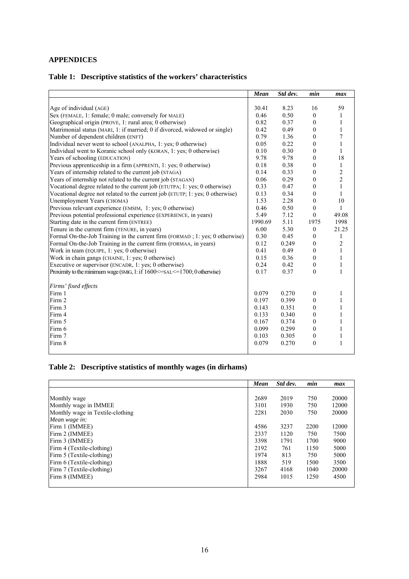#### **APPENDICES**

## **Table 1: Descriptive statistics of the workers' characteristics**

|                                                                               | Mean    | Std dev. | min              | max            |
|-------------------------------------------------------------------------------|---------|----------|------------------|----------------|
|                                                                               |         |          |                  |                |
| Age of individual (AGE)                                                       | 30.41   | 8.23     | 16               | 59             |
| Sex (FEMALE, 1: female; 0 male; conversely for MALE)                          | 0.46    | 0.50     | $\overline{0}$   | 1              |
| Geographical origin (PROVE, 1: rural area; 0 otherwise)                       | 0.82    | 0.37     | $\mathbf{0}$     | 1              |
| Matrimonial status (MARI, 1: if married; 0 if divorced, widowed or single)    | 0.42    | 0.49     | $\mathbf{0}$     | $\mathbf{1}$   |
| Number of dependent children (ENFT)                                           | 0.79    | 1.36     | $\mathbf{0}$     | $\overline{7}$ |
| Individual never went to school (ANALPHA, 1: yes; 0 otherwise)                | 0.05    | 0.22     | $\Omega$         | $\mathbf{1}$   |
| Individual went to Koranic school only (KORAN, 1: yes; 0 otherwise)           | 0.10    | 0.30     | $\theta$         | $\mathbf{1}$   |
| Years of schooling (EDUCATION)                                                | 9.78    | 9.78     | $\theta$         | 18             |
| Previous apprenticeship in a firm (APPRENTI, 1: yes; 0 otherwise)             | 0.18    | 0.38     | $\mathbf{0}$     | $\mathbf{1}$   |
| Years of internship related to the current job (STAGA)                        | 0.14    | 0.33     | $\mathbf{0}$     | $\overline{c}$ |
| Years of internship not related to the current job (STAGAN)                   | 0.06    | 0.29     | $\mathbf{0}$     | $\overline{c}$ |
| Vocational degree related to the current job (ETUTPA; 1: yes; 0 otherwise)    | 0.33    | 0.47     | $\mathbf{0}$     | $\mathbf{1}$   |
| Vocational degree not related to the current job (ETUTP; 1: yes; 0 otherwise) | 0.13    | 0.34     | $\overline{0}$   | $\mathbf{1}$   |
| Unemployment Years (CHOMA)                                                    | 1.53    | 2.28     | $\mathbf{0}$     | 10             |
| Previous relevant experience (EMSIM, 1: yes; 0 otherwise)                     | 0.46    | 0.50     | $\boldsymbol{0}$ | $\mathbf{1}$   |
| Previous potential professional experience (EXPERIENCE, in years)             | 5.49    | 7.12     | $\overline{0}$   | 49.08          |
| Starting date in the current firm (ENTREE)                                    | 1990.69 | 5.11     | 1975             | 1998           |
| Tenure in the current firm (TENURE, in years)                                 | 6.00    | 5.30     | $\boldsymbol{0}$ | 21.25          |
| Formal On-the-Job Training in the current firm (FORMAD; 1: yes; 0 otherwise)  | 0.30    | 0.45     | $\overline{0}$   | $\mathbf{1}$   |
| Formal On-the-Job Training in the current firm (FORMAA, in years)             | 0.12    | 0.249    | $\overline{0}$   | $\overline{2}$ |
| Work in team (EQUIPE, 1: yes; 0 otherwise)                                    | 0.41    | 0.49     | $\boldsymbol{0}$ | $\mathbf{1}$   |
| Work in chain gangs (CHAINE, 1: yes; 0 otherwise)                             | 0.15    | 0.36     | $\mathbf{0}$     | $\mathbf{1}$   |
| Executive or supervisor (ENCADR, 1: yes; 0 otherwise)                         | 0.24    | 0.42     | $\mathbf{0}$     | $\mathbf{1}$   |
| Proximity to the minimum wage (SMIG, 1: if 1600 <= SAL <= 1700; 0 otherwise)  | 0.17    | 0.37     | $\theta$         | $\mathbf{1}$   |
| Firms' fixed effects                                                          |         |          |                  |                |
| Firm 1                                                                        | 0.079   | 0.270    | $\mathbf{0}$     | 1              |
| Firm 2                                                                        | 0.197   | 0.399    | $\mathbf{0}$     | 1              |
| Firm 3                                                                        | 0.143   | 0.351    | $\mathbf{0}$     | 1              |
| Firm 4                                                                        | 0.133   | 0.340    | $\mathbf{0}$     | 1              |
| Firm 5                                                                        | 0.167   | 0.374    | $\mathbf{0}$     | $\mathbf{1}$   |
| Firm 6                                                                        | 0.099   | 0.299    | $\mathbf{0}$     | 1              |
| Firm 7                                                                        | 0.103   | 0.305    | $\boldsymbol{0}$ | 1              |
| Firm 8                                                                        | 0.079   | 0.270    | $\boldsymbol{0}$ | $\mathbf{1}$   |
|                                                                               |         |          |                  |                |

## **Table 2: Descriptive statistics of monthly wages (in dirhams)**

|                                  | Mean | Std dev. | min  | max   |
|----------------------------------|------|----------|------|-------|
|                                  |      |          |      |       |
| Monthly wage                     | 2689 | 2019     | 750  | 20000 |
| Monthly wage in IMMEE            | 3101 | 1930     | 750  | 12000 |
| Monthly wage in Textile-clothing | 2281 | 2030     | 750  | 20000 |
| Mean wage in:                    |      |          |      |       |
| Firm 1 (IMMEE)                   | 4586 | 3237     | 2200 | 12000 |
| Firm 2 (IMMEE)                   | 2337 | 1120     | 750  | 7500  |
| Firm 3 (IMMEE)                   | 3398 | 1791     | 1700 | 9000  |
| Firm 4 (Textile-clothing)        | 2192 | 761      | 1150 | 5000  |
| Firm 5 (Textile-clothing)        | 1974 | 813      | 750  | 5000  |
| Firm 6 (Textile-clothing)        | 1888 | 519      | 1500 | 3500  |
| Firm 7 (Textile-clothing)        | 3267 | 4168     | 1040 | 20000 |
| Firm 8 (IMMEE)                   | 2984 | 1015     | 1250 | 4500  |
|                                  |      |          |      |       |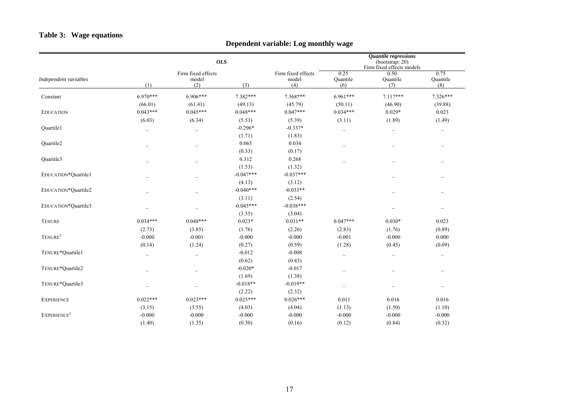#### **Table 3: Wage equations**

## **Dependent variable: Log monthly wage**

|                         |                          |                                    | <b>OLS</b>  |                                    | Quantile regressions<br>(bootstrap: 20)<br>Firm fixed effects models |                          |                          |
|-------------------------|--------------------------|------------------------------------|-------------|------------------------------------|----------------------------------------------------------------------|--------------------------|--------------------------|
| Independent variables   | (1)                      | Firm fixed effects<br>model<br>(2) | (3)         | Firm fixed effects<br>model<br>(4) | 0.25<br>Quantile<br>(6)                                              | 0.50<br>Quantile<br>(7)  | 0.75<br>Quantile<br>(8)  |
| Constant                | $6.970***$               | $6.906***$                         | 7.382***    | 7.368***                           | $6.961***$                                                           | $7.117***$               | $7.326***$               |
|                         | (66.01)                  | (61.41)                            | (49.13)     | (45.79)                            | (50.11)                                                              | (46.90)                  | (39.88)                  |
| <b>EDUCATION</b>        | $0.043***$               | $0.045***$                         | $0.048***$  | $0.047***$                         | $0.034***$                                                           | $0.029*$                 | 0.023                    |
|                         | (6.03)                   | (6.34)                             | (5.53)      | (5.39)                             | (3.11)                                                               | (1.89)                   | (1.49)                   |
| Quartile1               |                          | $\overline{\phantom{m}}$           | $-0.296*$   | $-0.337*$                          | $\overline{\phantom{0}}$                                             | $\qquad \qquad -$        | $\overline{\phantom{0}}$ |
|                         |                          |                                    | (1.71)      | (1.83)                             |                                                                      |                          |                          |
| Quartile <sub>2</sub>   |                          | $\overline{\phantom{0}}$           | 0.065       | 0.034                              |                                                                      |                          |                          |
|                         |                          |                                    | (0.33)      | (0.17)                             |                                                                      |                          |                          |
| Quartile3               |                          |                                    | 0.312       | 0.268                              |                                                                      |                          |                          |
|                         |                          |                                    | (1.53)      | (1.32)                             |                                                                      |                          |                          |
| EDUCATION*Quartile1     |                          | $\overline{\phantom{0}}$           | $-0.047***$ | $-0.037***$                        |                                                                      | $\qquad \qquad -$        |                          |
|                         |                          |                                    | (4.13)      | (3.12)                             |                                                                      |                          |                          |
| EDUCATION*Quartile2     |                          | $\overline{\phantom{0}}$           | $-0.040***$ | $-0.033**$                         |                                                                      | $\overline{\phantom{0}}$ |                          |
|                         |                          |                                    | (3.11)      | (2.54)                             |                                                                      |                          |                          |
| EDUCATION*Quartile3     |                          |                                    | $-0.045***$ | $-0.038***$                        |                                                                      |                          | $\overline{\phantom{0}}$ |
|                         |                          |                                    | (3.55)      | (3.04)                             |                                                                      |                          |                          |
| <b>TENURE</b>           | $0.034***$               | $0.048***$                         | $0.023*$    | $0.031**$                          | $0.047***$                                                           | $0.030*$                 | 0.023                    |
|                         | (2.73)                   | (3.85)                             | (1.76)      | (2.26)                             | (2.83)                                                               | (1.76)                   | (0.89)                   |
| TENURE <sup>2</sup>     | $-0.000$                 | $-0.001$                           | $-0.000$    | $-0.000$                           | $-0.001$                                                             | $-0.000$                 | 0.000                    |
|                         | (0.14)                   | (1.24)                             | (0.27)      | (0.59)                             | (1.28)                                                               | (0.45)                   | (0.09)                   |
| TENURE*Quartile1        | $\overline{\phantom{0}}$ | $\overline{\phantom{m}}$           | $-0.012$    | $-0.008$                           | $\overline{\phantom{0}}$                                             | $\overline{\phantom{0}}$ | $\overline{\phantom{0}}$ |
|                         |                          |                                    | (0.62)      | (0.43)                             |                                                                      |                          |                          |
| TENURE*Quartile2        |                          | $\overline{\phantom{m}}$           | $-0.020*$   | $-0.017$                           | $\overline{\phantom{m}}$                                             | $\overline{\phantom{0}}$ | $\overline{\phantom{0}}$ |
|                         |                          |                                    | (1.69)      | (1.38)                             |                                                                      |                          |                          |
| TENURE*Quartile3        |                          |                                    | $-0.018**$  | $-0.019**$                         | $\overline{\phantom{0}}$                                             |                          |                          |
|                         |                          |                                    | (2.22)      | (2.32)                             |                                                                      |                          |                          |
| <b>EXPERIENCE</b>       | $0.022***$               | $0.023***$                         | $0.025***$  | $0.026***$                         | 0.011                                                                | 0.016                    | 0.016                    |
|                         | (3.15)                   | (3.55)                             | (4.03)      | (4.04)                             | (1.13)                                                               | (1.50)                   | (1.10)                   |
| EXPERIENCE <sup>2</sup> | $-0.000$                 | $-0.000$                           | $-0.000$    | $-0.000$                           | $-0.000$                                                             | $-0.000$                 | $-0.000$                 |
|                         | (1.40)                   | (1.35)                             | (0.30)      | (0.16)                             | (0.12)                                                               | (0.84)                   | (0.32)                   |
|                         |                          |                                    |             |                                    |                                                                      |                          |                          |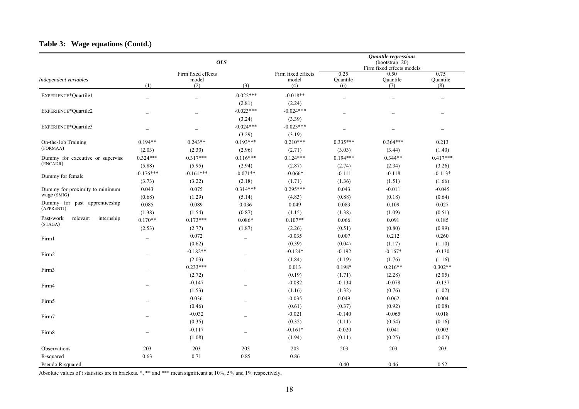#### **Table 3: Wage equations (Contd.)**

|                                                |                          | <b>OLS</b>                         |                          |                                    |                              | Quantile regressions<br>(bootstrap: 20)<br>Firm fixed effects models |                           |
|------------------------------------------------|--------------------------|------------------------------------|--------------------------|------------------------------------|------------------------------|----------------------------------------------------------------------|---------------------------|
| Independent variables                          | (1)                      | Firm fixed effects<br>model<br>(2) | (3)                      | Firm fixed effects<br>model<br>(4) | 0.25<br>Quantile<br>(6)      | 0.50<br>Quantile<br>(7)                                              | 0.75<br>Quantile<br>(8)   |
| EXPERIENCE*Quartile1                           | $\overline{a}$           | $\overline{a}$                     | $-0.022***$<br>(2.81)    | $-0.018**$<br>(2.24)               |                              | $\overline{\phantom{0}}$                                             |                           |
| EXPERIENCE*Quartile2                           |                          | $\overline{\phantom{0}}$           | $-0.023***$<br>(3.24)    | $-0.024***$<br>(3.39)              | $\overline{\phantom{0}}$     | $\overline{\phantom{0}}$                                             | $\overline{\phantom{0}}$  |
| EXPERIENCE*Quartile3                           |                          | $\overline{\phantom{a}}$           | $-0.024***$<br>(3.29)    | $-0.023***$<br>(3.19)              |                              |                                                                      |                           |
| On-the-Job Training<br>(FORMAA)                | $0.194**$<br>(2.03)      | $0.243**$<br>(2.30)                | $0.193***$<br>(2.96)     | $0.210***$<br>(2.71)               | $0.335***$<br>(3.03)         | $0.364***$<br>(3.44)                                                 | 0.213<br>(1.40)           |
| Dummy for executive or supervisc<br>(ENCADR)   | $0.324***$<br>(5.88)     | $0.317***$<br>(5.95)               | $0.116***$<br>(2.94)     | $0.124***$<br>(2.87)               | $0.194***$<br>(2.74)         | $0.344**$<br>(2.34)                                                  | $0.417***$<br>(3.26)      |
| Dummy for female                               | $-0.176***$<br>(3.73)    | $-0.161***$<br>(3.22)              | $-0.071**$<br>(2.18)     | $-0.066*$<br>(1.71)                | $-0.111$<br>(1.36)           | $-0.118$<br>(1.51)                                                   | $-0.113*$<br>(1.66)       |
| Dummy for proximity to minimum<br>wage (SMIG)  | 0.043<br>(0.68)          | 0.075<br>(1.29)                    | $0.314***$<br>(5.14)     | $0.295***$<br>(4.83)               | 0.043<br>(0.88)              | $-0.011$<br>(0.18)                                                   | $-0.045$<br>(0.64)        |
| Dummy for past apprenticeship<br>(APPRENTI)    | 0.085                    | 0.089                              | 0.036                    | 0.049                              | 0.083                        | 0.109                                                                | 0.027                     |
| Past-work<br>relevant<br>internship<br>(STAGA) | (1.38)<br>$0.170**$      | (1.54)<br>$0.173***$               | (0.87)<br>$0.086*$       | (1.15)<br>$0.107**$                | (1.38)<br>0.066              | (1.09)<br>0.091                                                      | (0.51)<br>0.185           |
| Firm1                                          | (2.53)                   | (2.77)<br>0.072                    | (1.87)                   | (2.26)<br>$-0.035$                 | (0.51)<br>0.007              | (0.80)<br>0.212                                                      | (0.99)<br>0.260           |
| Firm2                                          |                          | (0.62)<br>$-0.182**$               |                          | (0.39)<br>$-0.124*$                | (0.04)<br>$-0.192$           | (1.17)<br>$-0.167*$                                                  | (1.10)<br>$-0.130$        |
| Firm3                                          |                          | (2.03)<br>$0.233***$               |                          | (1.84)<br>0.013                    | (1.19)<br>0.198*             | (1.76)<br>$0.216**$                                                  | (1.16)<br>$0.302**$       |
| Firm4                                          |                          | (2.72)<br>$-0.147$                 |                          | (0.19)<br>$-0.082$                 | (1.71)<br>$-0.134$           | (2.28)<br>$-0.078$                                                   | (2.05)<br>$-0.137$        |
| Firm5                                          |                          | (1.53)<br>0.036                    |                          | (1.16)<br>$-0.035$                 | (1.32)<br>0.049              | (0.76)<br>0.062                                                      | (1.02)<br>0.004           |
| Firm7                                          |                          | (0.46)<br>$-0.032$                 |                          | (0.61)<br>$-0.021$                 | (0.37)<br>$-0.140$           | (0.92)<br>$-0.065$                                                   | (0.08)<br>0.018           |
| Firm8                                          | $\overline{\phantom{0}}$ | (0.35)<br>$-0.117$<br>(1.08)       | $\overline{\phantom{0}}$ | (0.32)<br>$-0.161*$<br>(1.94)      | (1.11)<br>$-0.020$<br>(0.11) | (0.54)<br>0.041<br>(0.25)                                            | (0.16)<br>0.003<br>(0.02) |
| Observations                                   | 203                      | 203                                | 203                      | 203                                | 203                          | 203                                                                  | 203                       |
| R-squared<br>Pseudo R-squared                  | 0.63                     | 0.71                               | 0.85                     | 0.86                               | 0.40                         | 0.46                                                                 | 0.52                      |

Absolute values of *t* statistics are in brackets. \*, \*\* and \*\*\* mean significant at 10%, 5% and 1% respectively.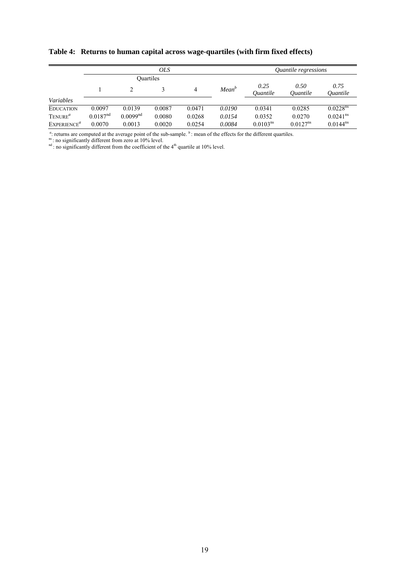|                         |                      |                      | <i>OLS</i>       |        | <i><b>Ouantile regressions</b></i> |                         |                                       |                                       |
|-------------------------|----------------------|----------------------|------------------|--------|------------------------------------|-------------------------|---------------------------------------|---------------------------------------|
|                         |                      |                      | <b>Ouartiles</b> |        |                                    |                         |                                       |                                       |
|                         |                      |                      |                  | 4      | Mean <sup>b</sup>                  | 0.25<br><i>Ouantile</i> | 0.50<br><i><u><b>Ouantile</b></u></i> | 0.75<br><i><u><b>Ouantile</b></u></i> |
| Variables               |                      |                      |                  |        |                                    |                         |                                       |                                       |
| <b>EDUCATION</b>        | 0.0097               | 0.0139               | 0.0087           | 0.0471 | 0.0190                             | 0.0341                  | 0.0285                                | 0.0228 <sup>ns</sup>                  |
| TENURE <sup>a</sup>     | 0.0187 <sup>nd</sup> | 0.0099 <sup>nd</sup> | 0.0080           | 0.0268 | 0.0154                             | 0.0352                  | 0.0270                                | $0.0241$ <sup>ns</sup>                |
| EXPERIENCE <sup>a</sup> | 0.0070               | 0.0013               | 0.0020           | 0.0254 | 0.0084                             | 0.0103 <sup>ns</sup>    | $0.0127^{ns}$                         | $0.0144^{ns}$                         |

**Table 4: Returns to human capital across wage-quartiles (with firm fixed effects)** 

 $a$ : returns are computed at the average point of the sub-sample.  $b$ : mean of the effects for the different quartiles.

ns: no significantly different from zero at 10% level.

 $n<sup>nd</sup>$ : no significantly different from the coefficient of the  $4<sup>th</sup>$  quartile at 10% level.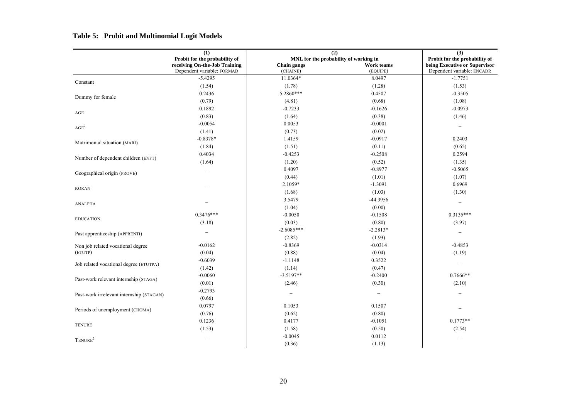#### **Table 5: Probit and Multinomial Logit Models**

|                                          | (1)                                                         | (2)                     |                                       | (3)                                                         |  |
|------------------------------------------|-------------------------------------------------------------|-------------------------|---------------------------------------|-------------------------------------------------------------|--|
|                                          | Probit for the probability of                               |                         | MNL for the probability of working in | Probit for the probability of                               |  |
|                                          | receiving On-the-Job Training<br>Dependent variable: FORMAD | Chain gangs<br>(CHAINE) | Work teams<br>(EQUIPE)                | being Executive or Supervisor<br>Dependent variable: ENCADR |  |
|                                          | $-5.4295$                                                   | 11.0364*                | 8.0497                                | $-1.7751$                                                   |  |
| Constant                                 | (1.54)                                                      | (1.78)                  | (1.28)                                | (1.53)                                                      |  |
| Dummy for female                         | 0.2436                                                      | 5.2860***               | 0.4507                                | $-0.3505$                                                   |  |
|                                          | (0.79)                                                      | (4.81)                  | (0.68)                                | (1.08)                                                      |  |
|                                          | 0.1892                                                      | $-0.7233$               | $-0.1626$                             | $-0.0973$                                                   |  |
| $\rm{AGE}$                               | (0.83)                                                      | (1.64)                  | (0.38)                                | (1.46)                                                      |  |
| AGE <sup>2</sup>                         | $-0.0054$                                                   | 0.0053                  | $-0.0001$                             | $\overline{\phantom{a}}$                                    |  |
|                                          | (1.41)                                                      | (0.73)                  | (0.02)                                |                                                             |  |
|                                          | $-0.8378*$                                                  | 1.4159                  | $-0.0917$                             | 0.2403                                                      |  |
| Matrimonial situation (MARI)             | (1.84)                                                      | (1.51)                  | (0.11)                                | (0.65)                                                      |  |
|                                          | 0.4034                                                      | $-0.4253$               | $-0.2508$                             | 0.2594                                                      |  |
| Number of dependent children (ENFT)      | (1.64)                                                      | (1.20)                  | (0.52)                                | (1.35)                                                      |  |
|                                          |                                                             | 0.4097                  | $-0.8977$                             | $-0.5065$                                                   |  |
| Geographical origin (PROVE)              |                                                             | (0.44)                  | (1.01)                                | (1.07)                                                      |  |
|                                          |                                                             | 2.1059*                 | $-1.3091$                             | 0.6969                                                      |  |
| <b>KORAN</b>                             |                                                             | (1.68)                  | (1.03)                                | (1.30)                                                      |  |
|                                          |                                                             | 3.5479                  | -44.3956                              | $\overline{\phantom{0}}$                                    |  |
| <b>ANALPHA</b>                           |                                                             | (1.04)                  | (0.00)                                |                                                             |  |
|                                          | $0.3476***$                                                 | $-0.0050$               | $-0.1508$                             | $0.3135***$                                                 |  |
| <b>EDUCATION</b>                         | (3.18)                                                      | (0.03)                  | (0.80)                                | (3.97)                                                      |  |
| Past apprenticeship (APPRENTI)           | $\overline{\phantom{0}}$                                    | $-2.6085***$            | $-2.2813*$                            | $\overline{\phantom{m}}$                                    |  |
|                                          |                                                             | (2.82)                  | (1.93)                                |                                                             |  |
| Non job related vocational degree        | $-0.0162$                                                   | $-0.8369$               | $-0.0314$                             | $-0.4853$                                                   |  |
| (ETUTP)                                  | (0.04)                                                      | (0.88)                  | (0.04)                                | (1.19)                                                      |  |
| Job related vocational degree (ETUTPA)   | $-0.6039$                                                   | $-1.1148$               | 0.3522                                | $\overline{\phantom{a}}$                                    |  |
|                                          | (1.42)                                                      | (1.14)                  | (0.47)                                |                                                             |  |
| Past-work relevant internship (STAGA)    | $-0.0060$                                                   | $-3.5197**$             | $-0.2400$                             | $0.7666**$                                                  |  |
|                                          | (0.01)                                                      | (2.46)                  | (0.30)                                | (2.10)                                                      |  |
| Past-work irrelevant internship (STAGAN) | $-0.2793$                                                   |                         |                                       |                                                             |  |
|                                          | (0.66)                                                      |                         |                                       |                                                             |  |
| Periods of unemployment (CHOMA)          | 0.0797                                                      | 0.1053                  | 0.1507                                |                                                             |  |
|                                          | (0.76)                                                      | (0.62)                  | (0.80)                                |                                                             |  |
|                                          | 0.1236                                                      | 0.4177                  | $-0.1051$                             | $0.1773**$                                                  |  |
| <b>TENURE</b>                            | (1.53)                                                      | (1.58)                  | (0.50)                                | (2.54)                                                      |  |
| TENURE <sup>2</sup>                      |                                                             | $-0.0045$               | 0.0112                                |                                                             |  |
|                                          |                                                             | (0.36)                  | (1.13)                                |                                                             |  |